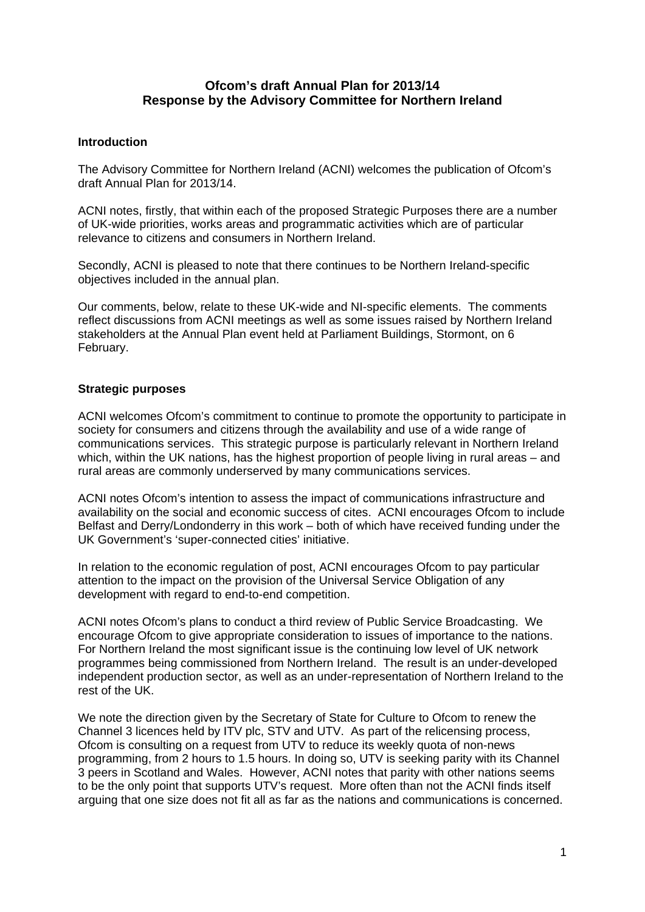## **Ofcom's draft Annual Plan for 2013/14 Response by the Advisory Committee for Northern Ireland**

## **Introduction**

The Advisory Committee for Northern Ireland (ACNI) welcomes the publication of Ofcom's draft Annual Plan for 2013/14.

ACNI notes, firstly, that within each of the proposed Strategic Purposes there are a number of UK-wide priorities, works areas and programmatic activities which are of particular relevance to citizens and consumers in Northern Ireland.

Secondly, ACNI is pleased to note that there continues to be Northern Ireland-specific objectives included in the annual plan.

Our comments, below, relate to these UK-wide and NI-specific elements. The comments reflect discussions from ACNI meetings as well as some issues raised by Northern Ireland stakeholders at the Annual Plan event held at Parliament Buildings, Stormont, on 6 February.

## **Strategic purposes**

ACNI welcomes Ofcom's commitment to continue to promote the opportunity to participate in society for consumers and citizens through the availability and use of a wide range of communications services. This strategic purpose is particularly relevant in Northern Ireland which, within the UK nations, has the highest proportion of people living in rural areas – and rural areas are commonly underserved by many communications services.

ACNI notes Ofcom's intention to assess the impact of communications infrastructure and availability on the social and economic success of cites. ACNI encourages Ofcom to include Belfast and Derry/Londonderry in this work – both of which have received funding under the UK Government's 'super-connected cities' initiative.

In relation to the economic regulation of post, ACNI encourages Ofcom to pay particular attention to the impact on the provision of the Universal Service Obligation of any development with regard to end-to-end competition.

ACNI notes Ofcom's plans to conduct a third review of Public Service Broadcasting. We encourage Ofcom to give appropriate consideration to issues of importance to the nations. For Northern Ireland the most significant issue is the continuing low level of UK network programmes being commissioned from Northern Ireland. The result is an under-developed independent production sector, as well as an under-representation of Northern Ireland to the rest of the UK.

We note the direction given by the Secretary of State for Culture to Ofcom to renew the Channel 3 licences held by ITV plc, STV and UTV. As part of the relicensing process, Ofcom is consulting on a request from UTV to reduce its weekly quota of non-news programming, from 2 hours to 1.5 hours. In doing so, UTV is seeking parity with its Channel 3 peers in Scotland and Wales. However, ACNI notes that parity with other nations seems to be the only point that supports UTV's request. More often than not the ACNI finds itself arguing that one size does not fit all as far as the nations and communications is concerned.